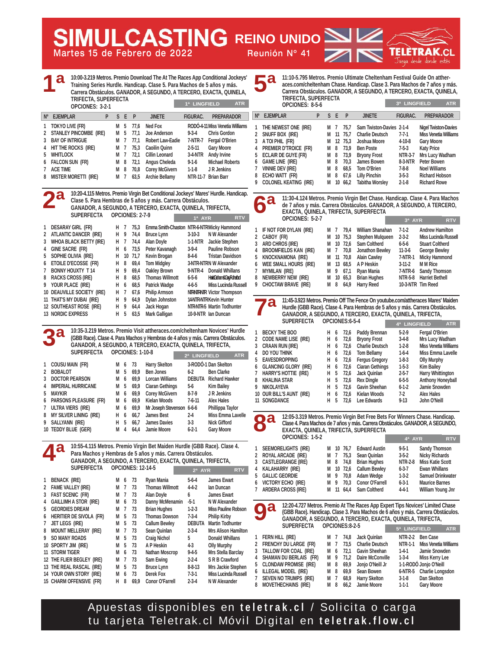**5ª**

**11:10-5.795 Metros. Premio Ultimate Cheltenham Festival Guide On attheraces.com/cheltenham Chase. Handicap. Clase 3. Para Machos de 7 años y más. Carrera Obstáculos. GANADOR, A SEGUNDO, A TERCERO, EXACTA, QUINELA, TRIFECTA, SUPERFECTA**

|             | OPCIONES: 8-5-6                                                            |   | 3ª LINGFIELD | <b>ATR</b> |                 |                                                    |                            |                                                             |  |  |  |  |
|-------------|----------------------------------------------------------------------------|---|--------------|------------|-----------------|----------------------------------------------------|----------------------------|-------------------------------------------------------------|--|--|--|--|
| $N^{\circ}$ | <b>EJEMPLAR</b>                                                            | P |              | S E        | P               | <b>JINETE</b>                                      | <b>FIGURAC.</b>            | <b>PREPARADOR</b>                                           |  |  |  |  |
| 2           | THE NEWEST ONE (IRE)<br>SNUFF BOX (IRE)                                    |   | м<br>м       | 7<br>11    | 75.7<br>75.7    | Sam Twiston-Davies 2-1-4<br><b>Charlie Deutsch</b> | $7 - 7 - 1$                | <b>Nigel Twiston-Davies</b><br><b>Miss Venetia Williams</b> |  |  |  |  |
| 3<br>4      | A TOI PHIL (FR)<br>PREMIER D'TROICE (FR)                                   |   | м<br>м       | 8          | 12 75.3<br>73.9 | Joshua Moore<br><b>Ben Poste</b>                   | $4 - 10 - 8$<br>$7-5-3$    | <b>Gary Moore</b><br><b>Katy Price</b>                      |  |  |  |  |
| 5<br>6      | ECLAIR DE GUYE (FR)<br><b>GAME LINE (IRE)</b>                              |   | м<br>м       | 8<br>8     | 73,9<br>70.3    | <b>Bryony Frost</b><br>James Bowen                 | NTR-3-7<br>8-3-NTR         | Mrs Lucy Wadham<br>Peter Bowen                              |  |  |  |  |
|             | <b>VINNIE DEV (IRE)</b>                                                    |   | М            | 8          | 68.5            | Tom O'Brien                                        | $7-8-8$                    | <b>Noel Williams</b>                                        |  |  |  |  |
| 8<br>9      | ECHO WATT (FR)<br><b>COLONEL KEATING (IRE)</b>                             |   | м<br>м       | 8          | 67.6<br>10 66.2 | <b>Lilly Pinchin</b><br><b>Tabitha Worsley</b>     | $3 - 5 - 3$<br>$2 - 1 - 8$ | <b>Richard Hobson</b><br><b>Richard Rowe</b>                |  |  |  |  |
|             | $\mathbf{u}$ , and $\mathbf{u}$ , and $\mathbf{u}$ , and $\mathbf{u}$<br>. |   |              |            |                 |                                                    |                            |                                                             |  |  |  |  |

**11:30-4.124 Metros. Premio Virgin Bet Chase. Handicap. Clase 4. Para Machos de 7 años y más. Carrera Obstáculos. GANADOR, A SEGUNDO, A TERCERO, EXACTA, QUINELA, TRIFECTA, SUPERFECTA OPCIONES: 5-2-7 3ª AYR RTV**

| 1 IF NOT FOR DYLAN (IRE) |  | M 7 79.4 William Shanahan  | $7-1-2$        | <b>Andrew Hamilton</b>      |
|--------------------------|--|----------------------------|----------------|-----------------------------|
| 2 CABOY (FR)             |  | M 10 75,3 Stephen Mulqueen | $2 - 3 - 2$    | <b>Miss Lucinda Russell</b> |
| 3 ARD CHROS (IRE)        |  | M 10 72,6 Sam Coltherd     | 6-5-6          | <b>Stuart Coltherd</b>      |
| 4 BROOMFIELDS KAN (IRE)  |  | M 7 70,8 Jonathon Bewley   | $11-3-6$       | <b>George Bewley</b>        |
| 5 KNOCKNAMONA (IRE)      |  | M 11 70,8 Alain Cawley     | <b>7-NTR-1</b> | <b>Micky Hammond</b>        |
| 6 WEE SMALL HOURS (IRE)  |  | M 13 68.5 A P Heskin       | $3 - 11 - 2$   | <b>MM Rice</b>              |
|                          |  | M 9 67,1 Ryan Mania        |                | 7-NTR-6 Sandy Thomson       |
| 8 NEWBERRY NEW (IRE)     |  | M 10 65,3 Brian Hughes     |                | NTR-5-8 Harriet Bethell     |
| 9 CHOCTAW BRAVE (IRE)    |  | M 8 64,9 Harry Reed        |                | 10-3-NTR Tim Reed           |

**115-4**<br>The Maiden **Hurdle (GBB Race). Clase 4. Para Hembras de 5 años y más. Carrera Obstáculos. GANADOR, A SEGUNDO, A TERCERO, EXACTA, QUINELA, TRIFECTA, 7ª**

|   |                          |   |   |      |                        | 4 <sup>ª</sup> LINGFIELD | <b>ATR</b>                   |
|---|--------------------------|---|---|------|------------------------|--------------------------|------------------------------|
| 1 | <b>BECKY THE BOO</b>     | н | 6 | 72,6 | Paddy Brennan          | $5-2-9$                  | Fergal O'Brien               |
|   | 2 CODE NAME LISE (IRE)   | н | 6 | 72,6 | <b>Bryony Frost</b>    | $3-4-8$                  | Mrs Lucy Wadham              |
|   | 3 CRAAN RUN (IRE)        | н | 6 | 72.6 | <b>Charlie Deutsch</b> | $1-2-8$                  | <b>Miss Venetia Williams</b> |
|   | 4 DO YOU THINK           | н | 6 | 72.6 | <b>Tom Bellamy</b>     | $1-6-4$                  | Miss Emma Lavelle            |
|   | 5 EAVESDROPPING          | н | 6 | 72.6 | <b>Fergus Gregory</b>  | $1-8-3$                  | <b>Olly Murphy</b>           |
|   | 6 GLANCING GLORY (IRE)   | н | 6 | 72.6 | <b>Ciaran Gethings</b> | $1-5-3$                  | <b>Kim Bailey</b>            |
|   | 7 HARRY'S HOTTIE (IRE)   | н | 5 | 72.6 | Jack Quinlan           | $2 - 5 - 7$              | <b>Harry Whittington</b>     |
|   | 8 KHALINA STAR           | н | 5 | 72.6 | <b>Rex Dingle</b>      | $6 - 5 - 5$              | <b>Anthony Honeyball</b>     |
| 9 | NIKOLAYEVA               | н | 5 | 72.6 | <b>Gavin Sheehan</b>   | $6 - 1 - 2$              | Jamie Snowden                |
|   | 10 OUR BILL'S AUNT (IRE) | н | 6 | 72.6 | Kielan Woods           | $7-2$                    | <b>Alex Hales</b>            |
|   | <b>11 SONGDANCE</b>      | н | 5 | 72.6 | Lee Edwards            | $9 - 13$                 | John O'Neill                 |
|   |                          |   |   |      |                        |                          |                              |

**12:05-3.319 Metros. Premio Virgin Bet Free Bets For Winners Chase. Handicap. Clase 4. Para Machos de 7 años y más. Carrera Obstáculos. GANADOR, A SEGUNDO, EXACTA, QUINELA, TRIFECTA, SUPERFECTA OPCIONES: 1-5-2 4ª AYR RTV 8ª**

|                       |  |                          | <b>CONTRACTOR</b> | .                        |
|-----------------------|--|--------------------------|-------------------|--------------------------|
| 1 SEEMORELIGHTS (IRE) |  | M 10 76,7 Edward Austin  | $9 - 5 - 1$       | <b>Sandy Thomson</b>     |
| 2 ROYAL ARCADE (IRE)  |  | M 7 75.3 Sean Quinlan    | $3-5-2$           | Nicky Richards           |
| 3 CASTLEGRANGE (IRE)  |  | M 8 74,8 Brian Hughes    |                   | NTR-2-8 Miss Katie Scott |
| 4 KALAHARRY (IRE)     |  | M 10 72,6 Callum Bewley  | $6 - 3 - 7$       | Ewan Whillans            |
| 5 GALLIC GEORDIE      |  | M 9 70,8 Adam Wedge      | $1-3-2$           | <b>Samuel Drinkwater</b> |
| 6 VICTORY ECHO (IRE)  |  | M 9 70,3 Conor O'Farrell | $6 - 3 - 1$       | <b>Maurice Barnes</b>    |
| 7 ARDERA CROSS (IRE)  |  | M 11 64.4 Sam Coltherd   | $4 - 4 - 1$       | William Young Jnr        |
|                       |  |                          |                   |                          |

**12:20-4.727 Metros. Premio At The Races App Expert Tips Novices' Limited Chase (GBB Race). Handicap. Clase 3. Para Machos de 6 años y más. Carrera Obstáculos. GANADOR, A SEGUNDO, A TERCERO, EXACTA, QUINELA, TRIFECTA, SUPERFECTA OPCIONES:8-2-5 5ª LINGFIELD ATR 9ª**

| 1 FERN HILL (IRE)        |  | M 7 74.8 Jack Quinlan     | NTR-2-2 Ben Case |                               |
|--------------------------|--|---------------------------|------------------|-------------------------------|
| 2 FRENCHY DU LARGE (FR)  |  | M 7 73,5 Charlie Deutsch  |                  | NTR-1-1 Miss Venetia Williams |
| 3 TALLOW FOR COAL (IRE)  |  | M 6 72.1 Gavin Sheehan    |                  | 1-4-1 Jamie Snowden           |
| 4 SHAMAN DU BERLAIS (FR) |  | M 9 71.2 Daire McConville |                  | 1-3-4 Miss Kerry Lee          |
| 5 CLONDAW PROMISE (IRE)  |  | M 8 69,9 Jonjo O'Neill Jr |                  | 1-1-RODÓ Jonjo O'Neill        |
| 6 ILLEGAL MODEL (IRE)    |  | M 8 69,9 Sean Bowen       |                  | 6-NTR-5 Charlie Longsdon      |
| 7 SEVEN NO TRUMPS (IRE)  |  | M 7 68,9 Harry Skelton    | $3-1-8$          | Dan Skelton                   |
| 8 MOVETHECHAINS (IRE)    |  | M 8 66.2 Jamie Moore      | $1 - 1 - 1$      | <b>Gary Moore</b>             |
|                          |  |                           |                  |                               |

Apuestas disponibles en **teletrak.cl** / Solicita o carga tu tarjeta Teletrak.cl Móvil Digital en **teletrak.flow.cl**



**15 CHARM OFFENSIVE (FR) H 8 69,9 Conor O'Farrell 2-3-4 N W Alexander** 

- **11 STORM TIGER M 6 73 Nathan Moscrop 9-4-5 Mrs Stella Barclay**
- **12 THE FLIER BEGLEY (IRE) M 7 73 Sam Ewing 2-2-4 S R B Crawford 13 THE REAL RASCAL (IRE) M 5 73 Bruce Lynn 8-8-13 Mrs Jackie Stephen 14 YOUR OWN STORY (IRE) M 6 73 Derek Fox 7-3-1 Miss Lucinda Russell**

**Martes 15 de Febrero de 2022 Reunión Nº 41 REING REINO UNIDO** 

**10:00-3.219 Metros. Premio Download The At The Races App Conditional Jockeys' Training Series Hurdle. Handicap. Clase 5. Para Machos de 5 años y más. Carrera Obstáculos. GANADOR, A SEGUNDO, A TERCERO, EXACTA, QUINELA, 1ª**

|                 |                                                                                                                                                           |                                             |   |                                                                                     |                         |                 | <b>ATR</b>             |                                                                                       |
|-----------------|-----------------------------------------------------------------------------------------------------------------------------------------------------------|---------------------------------------------|---|-------------------------------------------------------------------------------------|-------------------------|-----------------|------------------------|---------------------------------------------------------------------------------------|
| <b>EJEMPLAR</b> | P                                                                                                                                                         |                                             |   |                                                                                     | <b>JINETE</b>           | <b>FIGURAC.</b> | <b>PREPARADOR</b>      |                                                                                       |
|                 |                                                                                                                                                           | M                                           | 5 |                                                                                     | Ned Fox                 |                 |                        |                                                                                       |
|                 |                                                                                                                                                           |                                             |   |                                                                                     | Joe Anderson            | $9 - 3 - 4$     | <b>Chris Gordon</b>    |                                                                                       |
|                 |                                                                                                                                                           | М                                           |   | 77.1                                                                                | <b>Robert Law-Eadie</b> | 7-NTR-7         | Fergal O'Brien         |                                                                                       |
|                 |                                                                                                                                                           | М                                           |   | 75.3                                                                                | Caoilin Quinn           | $2 - 5 - 11$    | <b>Gary Moore</b>      |                                                                                       |
|                 |                                                                                                                                                           | М                                           |   | 72.1                                                                                | Cillin Leonard          | 3-4-NTR         | Andy Irvine            |                                                                                       |
|                 |                                                                                                                                                           | М                                           |   | 72,1                                                                                | Angus Cheleda           | $9-1-6$         | <b>Michael Roberts</b> |                                                                                       |
|                 |                                                                                                                                                           | м                                           | 8 | 70,8                                                                                | <b>Corey McGivern</b>   | $1-1-8$         |                        |                                                                                       |
|                 |                                                                                                                                                           |                                             |   | 63.5                                                                                | <b>Archie Bellamy</b>   |                 |                        |                                                                                       |
|                 | 1 TOKYO LIVE (FR)<br><b>BAY OF INTRIGUE</b><br>4 HIT THE ROCKS (IRE)<br><b>WHITLOCK</b><br>6 FALCON SUN (FR)<br><b>ACE TIME</b><br>8 MISTER MORETTI (IRE) | OPCIONES: 3-2-1<br>2 STANLEY PINCOMBE (IRE) |   | TRIFECTA, SUPERFECTA<br>M<br>5<br>$\overline{7}$<br>$\overline{1}$<br>7<br>8<br>M 7 | S E P<br>77.6<br>77.1   |                 |                        | 1ª LINGFIELD<br>RODÓ-4-11 Miss Venetia Williams<br>J R Jenkins<br>NTR-11-7 Brian Barr |

**10:20-4.115 Metros. Premio Virgin Bet Conditional Jockeys' Mares' Hurdle. Handicap. Clase 5. Para Hembras de 5 años y más. Carrera Obstáculos. GANADOR, A SEGUNDO, A TERCERO, EXACTA, QUINELA, TRIFECTA, SUPERFECTA OPCIONES: 2-7-9 1 DESARAY GIRL (FR) H 7 75,3 Emma Smith-Chaston NTR-6-NTRMicky Hammond 2 ATLANTIC DANCER (IRE) H 9 74,4 Bruce Lynn 3-10-3 N W Alexander 3 WHOA BLACK BETTY (IRE) H 7 74,4 Alan Doyle 1-1-NTR Jackie Stephen 4 GINE SACRE (FR) H 6 73,5 Peter Kavanagh 3-9-4 Pauline Robson 5 SOPHIE OLIVIA (IRE) H 10 71,7 Kevin Brogan 8-4-6 Tristan Davidson**  1ª AYR **2ª**

**6 ETOILE D'ECOSSE (FR) H 8 69,4 Tom Midgley 3-NTR-NTRN W Alexander 7 BONNY HOUXTY T 14 H 9 69,4 Oakley Brown 9-NTR-4 Donald Whillans**  8 RACKS CROSS (IRE) H 8 685 Thomas Willmott 6-5-6 **Harriet Branch Graham Braham Agains 9 YOUR PLACE (IRE) H 6 68,5 Patrick Wadge 4-6-5 Miss Lucinda Russell**  10 DEAUVILLE SOCIETY (IRE) H 7 67,6 Philip Armson NTRNTRNTR Victor Thompson **11 THAT'S MY DUBAI (IRE) H 9 64,9 Dylan Johnston 14-NTR-NTRKevin Hunter 12 SOUTHEAST ROSE (IRE) H 9 64,4 Jack Hogan NTR-NTR-5 Martin Todhunter** 

**10:35-3.219 Metros. Premio Visit attheraces.com/cheltenham Novices' Hurdle (GBB Race). Clase 4. Para Machos y Hembras de 4 años y más. Carrera Obstáculos. GANADOR, A SEGUNDO, A TERCERO, EXACTA, QUINELA, TRIFECTA, SUPERFECTA OPCIONES: 1-10-8 2ª LINGFIELD ATR 3ª**

**13 NORDIC EXPRESS H 5 63,5 Mark Galligan 10-9-NTR Ian Duncan** 

| 1 COUSU MAIN (FR)        |     | M 6 73 | <b>Harry Skelton</b>               |          | 3-RODÓ-1 Dan Skelton         |
|--------------------------|-----|--------|------------------------------------|----------|------------------------------|
| 2 BOBALOT                | M 5 |        | 69,9 Ben Jones                     | $6 - 2$  | <b>Ben Clarke</b>            |
| 3 DOCTOR PEARSON         |     |        | M 6 69,9 Lorcan Williams           |          | <b>DEBUTA</b> Richard Hawker |
| 4 IMPERIAL HURRICANE     |     |        | M 5 69,9 Ciaran Gethings           | $5-6$    | Kim Bailey                   |
| 5 MAYKIR                 |     |        | M 6 69,9 Corey McGivern            | 8-7-9    | J R Jenkins                  |
| 6 PARSONS PLEASURE (FR)  |     |        | M 6 69,9 Kielan Woods              | $7-6-11$ | <b>Alex Hales</b>            |
| 7 ULTRA VIERS (IRE)      |     |        | M 6 69,9 Mr Joseph Stevenson 6-6-6 |          | Phillippa Taylor             |
| 8 MY SILVER LINING (IRE) |     |        | H 6 66.7 James Best                | $2-4$    | Miss Emma Lavelle            |

**GANADOR, A SEGUNDO, A TERCERO, EXACTA, QUINELA, TRIFECTA, 2ª AYR RTV**

| <b>a</b> | 11:45-3.923 Metros. Premio Off The Fence On youtube.com/attheraces Mar<br>Hurdle (GBB Race). Clase 4. Para Hembras de 5 años y más. Carrera Ob<br>OANIADOR A OFOUNDO A TEROFRO FUACTA QUINELA TRIFFOT |
|----------|-------------------------------------------------------------------------------------------------------------------------------------------------------------------------------------------------------|

| $\mathbf{d}$ | Hurdle (GBB Race). Clase 4. Para Hembras de 5 años y más. Carrera Obstáculos. |  |  | THE POLICE OF THE REPORT OF THE POLICE OF POULDING COMPANY IN THE CONDITION OF THE CONDITION OF THE CONDITION<br>GANADOR, A SEGUNDO, A TERCERO, EXACTA, QUINELA, TRIFECTA, |         |                              |  |
|--------------|-------------------------------------------------------------------------------|--|--|----------------------------------------------------------------------------------------------------------------------------------------------------------------------------|---------|------------------------------|--|
|              | SUPERFECTA OPCIONES:6-5-4                                                     |  |  | 4ª LINGFIELD                                                                                                                                                               |         | <b>ATR</b>                   |  |
|              | <b>ECKY THE BOO</b>                                                           |  |  | H 6 72,6 Paddy Brennan                                                                                                                                                     | $5-2-9$ | Fergal O'Brien               |  |
|              | ODE NAME LISE(IRE)                                                            |  |  | H 6 72,6 Bryony Frost                                                                                                                                                      | $3-4-8$ | Mrs Lucy Wadham              |  |
|              | <b>DAAN DUN /IDE\</b>                                                         |  |  | $11 \quad L = 72 L$ Charlie Doutsch                                                                                                                                        | 120     | Mice <i>Manetia Milliano</i> |  |

**6ª**